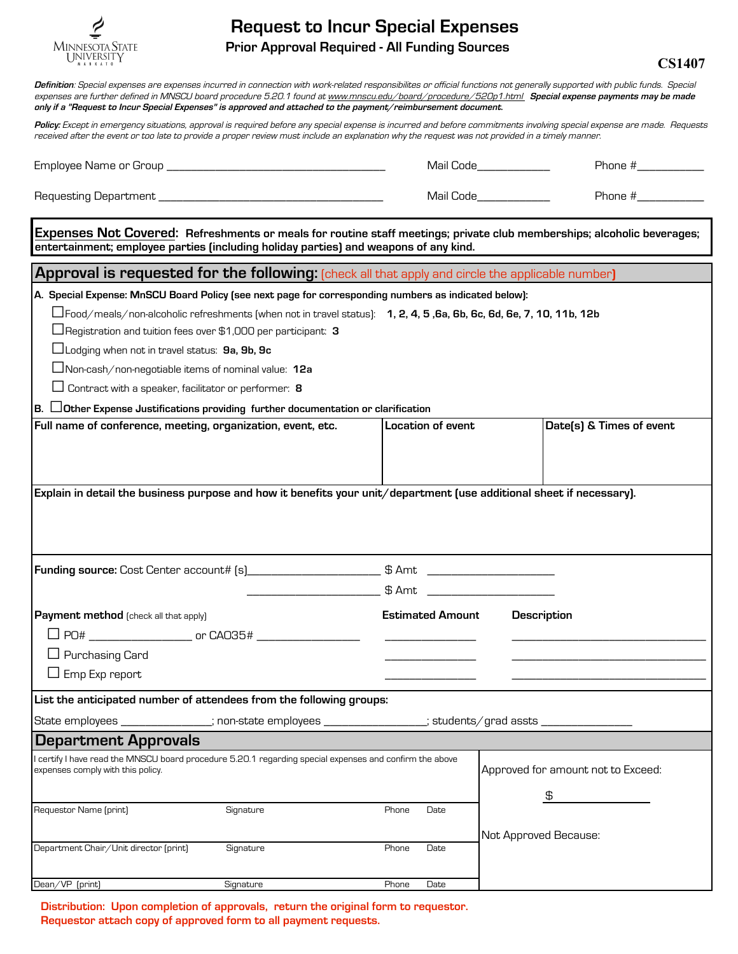

## **Request to Incur Special Expenses Prior Approval Required - All Funding Sources**

**CS1407**

| Definition: Special expenses are expenses incurred in connection with work-related responsibilites or official functions not generally supported with public funds. Special<br>expenses are further defined in MNSCU board procedure 5.20.1 found at www.mnscu.edu/board/procedure/520p1.html Special expense payments may be made<br>only if a "Request to Incur Special Expenses" is approved and attached to the payment/reimbursement document.                                                                                                                                                     |                                     |                                          |
|---------------------------------------------------------------------------------------------------------------------------------------------------------------------------------------------------------------------------------------------------------------------------------------------------------------------------------------------------------------------------------------------------------------------------------------------------------------------------------------------------------------------------------------------------------------------------------------------------------|-------------------------------------|------------------------------------------|
| Policy: Except in emergency situations, approval is required before any special expense is incurred and before commitments involving special expense are made. Requests<br>received after the event or too late to provide a proper review must include an explanation why the request was not provided in a timely manner.                                                                                                                                                                                                                                                                             |                                     |                                          |
|                                                                                                                                                                                                                                                                                                                                                                                                                                                                                                                                                                                                         | Mail Code______________             | Phone #______________                    |
|                                                                                                                                                                                                                                                                                                                                                                                                                                                                                                                                                                                                         | Mail Code____________               | Phone #_____________                     |
| Expenses Not Covered: Refreshments or meals for routine staff meetings; private club memberships; alcoholic beverages;<br>entertainment; employee parties (including holiday parties) and weapons of any kind.                                                                                                                                                                                                                                                                                                                                                                                          |                                     |                                          |
| Approval is requested for the following: [check all that apply and circle the applicable number]                                                                                                                                                                                                                                                                                                                                                                                                                                                                                                        |                                     |                                          |
| A. Special Expense: MnSCU Board Policy (see next page for corresponding numbers as indicated below):<br>$\Box$ Food/meals/non-alcoholic refreshments (when not in travel status): $\,$ 1, 2, 4, 5 ,6a, 6b, 6c, 6d, 6e, 7, 10, 11b, 12b<br>$\Box$ Registration and tuition fees over \$1,000 per participant: 3<br>$\Box$ Lodging when not in travel status: 9a, 9b, 9c<br>$\Box$ Non-cash/non-negotiable items of nominal value: 12a<br>$\Box$ Contract with a speaker, facilitator or performer: 8<br>$\vert$ B. $\vert$ Other Expense Justifications providing further documentation or clarification |                                     |                                          |
| Full name of conference, meeting, organization, event, etc.                                                                                                                                                                                                                                                                                                                                                                                                                                                                                                                                             | <b>Location of event</b>            | Date(s) & Times of event                 |
| Explain in detail the business purpose and how it benefits your unit/department (use additional sheet if necessary).                                                                                                                                                                                                                                                                                                                                                                                                                                                                                    |                                     |                                          |
|                                                                                                                                                                                                                                                                                                                                                                                                                                                                                                                                                                                                         |                                     |                                          |
|                                                                                                                                                                                                                                                                                                                                                                                                                                                                                                                                                                                                         |                                     |                                          |
| Payment method [check all that apply]<br>$\Box$ Purchasing Card<br>$\Box$ Emp Exp report                                                                                                                                                                                                                                                                                                                                                                                                                                                                                                                | <b>Estimated Amount Description</b> |                                          |
| List the anticipated number of attendees from the following groups:                                                                                                                                                                                                                                                                                                                                                                                                                                                                                                                                     |                                     |                                          |
| State employees _______________; non-state employees ________________; students/grad assts _______________                                                                                                                                                                                                                                                                                                                                                                                                                                                                                              |                                     |                                          |
| <b>Department Approvals</b>                                                                                                                                                                                                                                                                                                                                                                                                                                                                                                                                                                             |                                     |                                          |
| I certify I have read the MNSCU board procedure 5.20.1 regarding special expenses and confirm the above<br>expenses comply with this policy.                                                                                                                                                                                                                                                                                                                                                                                                                                                            |                                     | Approved for amount not to Exceed:<br>\$ |
| Requestor Name (print)<br>Signature                                                                                                                                                                                                                                                                                                                                                                                                                                                                                                                                                                     | Phone<br>Date                       |                                          |
| Department Chair/Unit director [print]<br>Signature                                                                                                                                                                                                                                                                                                                                                                                                                                                                                                                                                     | Phone<br>Date                       | Not Approved Because:                    |

**Distribution: Upon completion of approvals, return the original form to requestor. Requestor attach copy of approved form to all payment requests.** 

Dean/VP (print) Signature Phone Date